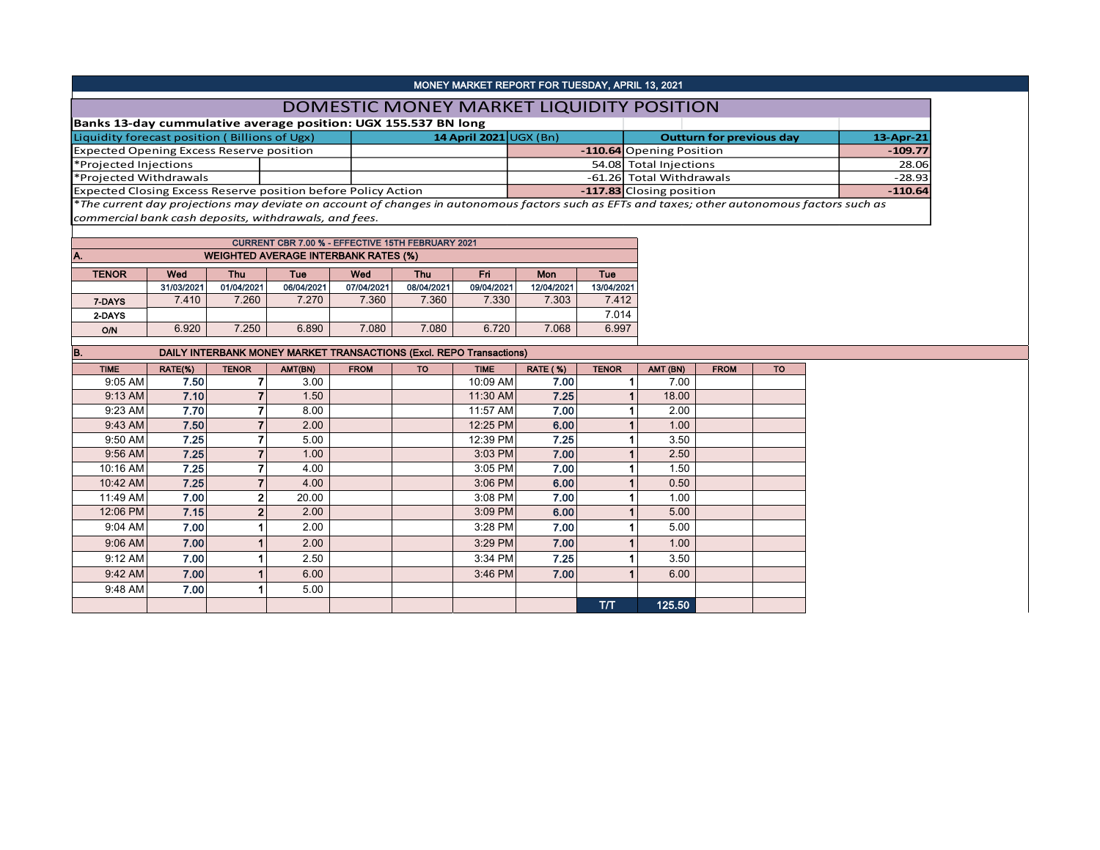| MONEY MARKET REPORT FOR TUESDAY, APRIL 13, 2021                                                                                               |  |                              |  |                          |                                 |              |  |  |  |  |  |  |
|-----------------------------------------------------------------------------------------------------------------------------------------------|--|------------------------------|--|--------------------------|---------------------------------|--------------|--|--|--|--|--|--|
| DOMESTIC MONEY MARKET LIQUIDITY POSITION                                                                                                      |  |                              |  |                          |                                 |              |  |  |  |  |  |  |
| Banks 13-day cummulative average position: UGX 155.537 BN long                                                                                |  |                              |  |                          |                                 |              |  |  |  |  |  |  |
| Liquidity forecast position (Billions of Ugx)                                                                                                 |  | 14 April 2021 $\cup$ GX (Bn) |  |                          | <b>Outturn for previous day</b> | $13$ -Apr-21 |  |  |  |  |  |  |
| <b>Expected Opening Excess Reserve position</b>                                                                                               |  |                              |  | -110.64 Opening Position |                                 | $-109.77$    |  |  |  |  |  |  |
| *Projected Injections                                                                                                                         |  |                              |  | 54.08 Total Injections   |                                 | 28.06        |  |  |  |  |  |  |
| *Projected Withdrawals                                                                                                                        |  |                              |  | -61.26 Total Withdrawals | $-28.93$                        |              |  |  |  |  |  |  |
| Expected Closing Excess Reserve position before Policy Action                                                                                 |  |                              |  | -117.83 Closing position |                                 | $-110.64$    |  |  |  |  |  |  |
| *The current day projections may deviate on account of changes in autonomous factors such as EFTs and taxes; other autonomous factors such as |  |                              |  |                          |                                 |              |  |  |  |  |  |  |

*commercial bank cash deposits, withdrawals, and fees.*

| <b>CURRENT CBR 7.00 % - EFFECTIVE 15TH FEBRUARY 2021</b> |            |                                                                    |            |            |            |            |            |            |  |  |  |  |  |  |
|----------------------------------------------------------|------------|--------------------------------------------------------------------|------------|------------|------------|------------|------------|------------|--|--|--|--|--|--|
| <b>WEIGHTED AVERAGE INTERBANK RATES (%)</b><br>IA.       |            |                                                                    |            |            |            |            |            |            |  |  |  |  |  |  |
| <b>TENOR</b>                                             | Wed        | Fri<br>Wed<br><b>Thu</b><br><b>Mon</b><br>Tue<br>Tue<br><b>Thu</b> |            |            |            |            |            |            |  |  |  |  |  |  |
|                                                          | 31/03/2021 | 01/04/2021                                                         | 06/04/2021 | 07/04/2021 | 08/04/2021 | 09/04/2021 | 12/04/2021 | 13/04/2021 |  |  |  |  |  |  |
| 7-DAYS                                                   | 7.410      | 7.260                                                              | 7.270      | 7.360      | 7.360      | 7.330      | 7.303      | 7.412      |  |  |  |  |  |  |
| 2-DAYS                                                   |            |                                                                    |            |            |            |            |            | 7.014      |  |  |  |  |  |  |
| O/N                                                      | 6.920      | 7.250                                                              | 6.890      | 7.080      | 7.080      | 6.720      | 7.068      | 6.997      |  |  |  |  |  |  |

| B.<br><b>DAILY INTERBANK MONEY MARKET TRANSACTIONS (Excl. REPO Transactions)</b> |         |                |         |             |           |             |                 |              |          |             |           |  |  |
|----------------------------------------------------------------------------------|---------|----------------|---------|-------------|-----------|-------------|-----------------|--------------|----------|-------------|-----------|--|--|
| <b>TIME</b>                                                                      | RATE(%) | <b>TENOR</b>   | AMT(BN) | <b>FROM</b> | <b>TO</b> | <b>TIME</b> | <b>RATE (%)</b> | <b>TENOR</b> | AMT (BN) | <b>FROM</b> | <b>TO</b> |  |  |
| $9:05$ AM                                                                        | 7.50    |                | 3.00    |             |           | 10:09 AM    | 7.00            |              | 7.00     |             |           |  |  |
| 9:13 AM                                                                          | 7.10    |                | 1.50    |             |           | 11:30 AM    | 7.25            |              | 18.00    |             |           |  |  |
| 9:23 AM                                                                          | 7.70    |                | 8.00    |             |           | 11:57 AM    | 7.00            |              | 2.00     |             |           |  |  |
| 9:43 AM                                                                          | 7.50    |                | 2.00    |             |           | 12:25 PM    | 6.00            |              | 1.00     |             |           |  |  |
| 9:50 AM                                                                          | 7.25    |                | 5.00    |             |           | 12:39 PM    | 7.25            |              | 3.50     |             |           |  |  |
| 9:56 AM                                                                          | 7.25    |                | 1.00    |             |           | 3:03 PM     | 7.00            |              | 2.50     |             |           |  |  |
| 10:16 AM                                                                         | 7.25    |                | 4.00    |             |           | 3:05 PM     | 7.00            |              | 1.50     |             |           |  |  |
| 10:42 AM                                                                         | 7.25    |                | 4.00    |             |           | $3:06$ PM   | 6.00            |              | 0.50     |             |           |  |  |
| 11:49 AM                                                                         | 7.00    | 2              | 20.00   |             |           | 3:08 PM     | 7.00            |              | 1.00     |             |           |  |  |
| 12:06 PM                                                                         | 7.15    | $\overline{2}$ | 2.00    |             |           | 3:09 PM     | 6.00            |              | 5.00     |             |           |  |  |
| $9:04$ AM                                                                        | 7.00    |                | 2.00    |             |           | 3:28 PM     | 7.00            |              | 5.00     |             |           |  |  |
| 9:06 AM                                                                          | 7.00    |                | 2.00    |             |           | 3:29 PM     | 7.00            |              | 1.00     |             |           |  |  |
| 9:12 AM                                                                          | 7.00    |                | 2.50    |             |           | 3:34 PM     | 7.25            |              | 3.50     |             |           |  |  |
| 9:42 AM                                                                          | 7.00    |                | 6.00    |             |           | $3:46$ PM   | 7.00            |              | 6.00     |             |           |  |  |
| 9:48 AM                                                                          | 7.00    |                | 5.00    |             |           |             |                 |              |          |             |           |  |  |
|                                                                                  |         |                |         |             |           |             |                 | тл           | 125.50   |             |           |  |  |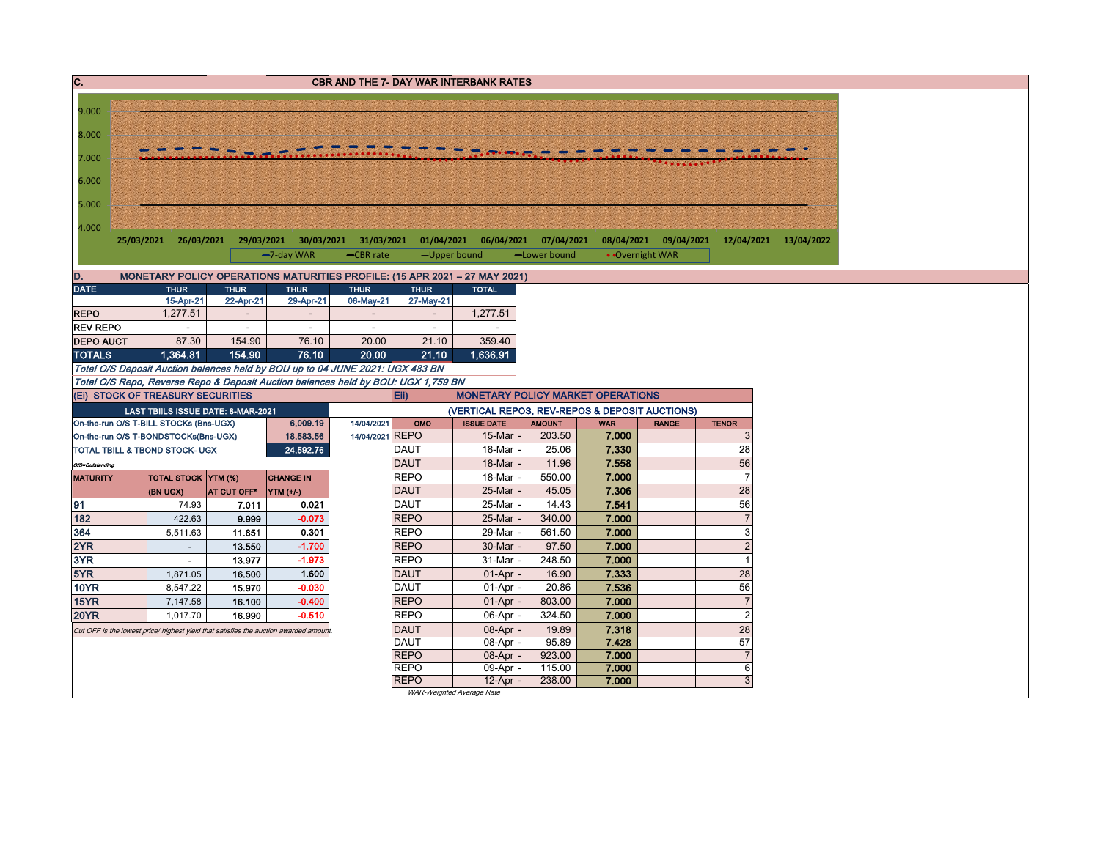| $\overline{c}$ .                                                                      | <b>CBR AND THE 7- DAY WAR INTERBANK RATES</b>                                                                                             |                                       |                                                                            |                                       |                            |                                                |                |                |                 |                |  |  |  |
|---------------------------------------------------------------------------------------|-------------------------------------------------------------------------------------------------------------------------------------------|---------------------------------------|----------------------------------------------------------------------------|---------------------------------------|----------------------------|------------------------------------------------|----------------|----------------|-----------------|----------------|--|--|--|
|                                                                                       |                                                                                                                                           |                                       |                                                                            |                                       |                            |                                                |                |                |                 |                |  |  |  |
| 9.000                                                                                 |                                                                                                                                           |                                       |                                                                            |                                       |                            |                                                |                |                |                 |                |  |  |  |
| 8.000                                                                                 |                                                                                                                                           |                                       |                                                                            |                                       |                            |                                                |                |                |                 |                |  |  |  |
|                                                                                       |                                                                                                                                           |                                       |                                                                            |                                       |                            |                                                |                |                |                 |                |  |  |  |
| 7.000                                                                                 |                                                                                                                                           |                                       |                                                                            |                                       |                            |                                                |                |                |                 |                |  |  |  |
| 6.000                                                                                 |                                                                                                                                           |                                       |                                                                            |                                       |                            |                                                |                |                |                 |                |  |  |  |
| 5.000                                                                                 |                                                                                                                                           |                                       |                                                                            |                                       |                            |                                                |                |                |                 |                |  |  |  |
|                                                                                       |                                                                                                                                           |                                       |                                                                            |                                       |                            |                                                |                |                |                 |                |  |  |  |
| 4.000                                                                                 |                                                                                                                                           |                                       |                                                                            |                                       |                            |                                                |                |                |                 |                |  |  |  |
|                                                                                       | 08/04/2021 09/04/2021 12/04/2021 13/04/2022<br>25/03/2021 26/03/2021<br>29/03/2021 30/03/2021 31/03/2021 01/04/2021 06/04/2021 07/04/2021 |                                       |                                                                            |                                       |                            |                                                |                |                |                 |                |  |  |  |
|                                                                                       |                                                                                                                                           |                                       | -7-day WAR                                                                 | -CBR rate                             | -Upper bound               |                                                | -Lower bound   |                | • Overnight WAR |                |  |  |  |
| D.                                                                                    |                                                                                                                                           |                                       | MONETARY POLICY OPERATIONS MATURITIES PROFILE: (15 APR 2021 - 27 MAY 2021) |                                       |                            |                                                |                |                |                 |                |  |  |  |
| <b>DATE</b>                                                                           | <b>THUR</b>                                                                                                                               | <b>THUR</b>                           | <b>THUR</b>                                                                | <b>THUR</b>                           | <b>THUR</b>                | <b>TOTAL</b>                                   |                |                |                 |                |  |  |  |
| <b>REPO</b>                                                                           | 15-Apr-21<br>1,277.51                                                                                                                     | 22-Apr-21<br>$\overline{\phantom{a}}$ | 29-Apr-21<br>$\overline{\phantom{a}}$                                      | 06-May-21<br>$\overline{\phantom{a}}$ | 27-May-21<br>$\sim$        | 1,277.51                                       |                |                |                 |                |  |  |  |
| <b>REV REPO</b>                                                                       | $\sim$                                                                                                                                    | $\sim$                                | $\sim$                                                                     | $\sim$                                | $\sim$                     | $\sim$                                         |                |                |                 |                |  |  |  |
| <b>DEPO AUCT</b>                                                                      | 87.30                                                                                                                                     | 154.90                                | 76.10                                                                      | 20.00                                 | 21.10                      | 359.40                                         |                |                |                 |                |  |  |  |
| <b>TOTALS</b>                                                                         | 1,364.81                                                                                                                                  | 154.90                                | 76.10                                                                      | 20.00                                 | 21.10                      | 1,636.91                                       |                |                |                 |                |  |  |  |
| Total O/S Deposit Auction balances held by BOU up to 04 JUNE 2021: UGX 483 BN         |                                                                                                                                           |                                       |                                                                            |                                       |                            |                                                |                |                |                 |                |  |  |  |
| Total O/S Repo, Reverse Repo & Deposit Auction balances held by BOU: UGX 1,759 BN     |                                                                                                                                           |                                       |                                                                            |                                       |                            |                                                |                |                |                 |                |  |  |  |
| (Ei) STOCK OF TREASURY SECURITIES                                                     |                                                                                                                                           |                                       |                                                                            |                                       | <b>Eii</b>                 | <b>MONETARY POLICY MARKET OPERATIONS</b>       |                |                |                 |                |  |  |  |
|                                                                                       | LAST TBIILS ISSUE DATE: 8-MAR-2021                                                                                                        |                                       |                                                                            |                                       |                            | (VERTICAL REPOS, REV-REPOS & DEPOSIT AUCTIONS) |                |                |                 |                |  |  |  |
| On-the-run O/S T-BILL STOCKs (Bns-UGX)                                                |                                                                                                                                           |                                       | 6,009.19                                                                   | 14/04/2021                            | OMO                        | <b>ISSUE DATE</b>                              | <b>AMOUNT</b>  | <b>WAR</b>     | <b>RANGE</b>    | <b>TENOR</b>   |  |  |  |
| On-the-run O/S T-BONDSTOCKs(Bns-UGX)                                                  |                                                                                                                                           |                                       | 18,583.56                                                                  | 14/04/2021 REPO                       |                            | 15-Mar                                         | 203.50         | 7.000          |                 | 3              |  |  |  |
| TOTAL TBILL & TBOND STOCK- UGX                                                        |                                                                                                                                           |                                       | 24.592.76                                                                  |                                       | <b>DAUT</b><br><b>DAUT</b> | 18-Mar<br>18-Mar                               | 25.06<br>11.96 | 7.330<br>7.558 |                 | 28<br>56       |  |  |  |
| O/S=Outstanding<br><b>MATURITY</b>                                                    | TOTAL STOCK YTM (%)                                                                                                                       |                                       | <b>CHANGE IN</b>                                                           |                                       | <b>REPO</b>                | 18-Mar                                         | 550.00         | 7.000          |                 | $\overline{7}$ |  |  |  |
|                                                                                       | (BN UGX)                                                                                                                                  | AT CUT OFF*                           | YTM (+/-)                                                                  |                                       | <b>DAUT</b>                | 25-Mar                                         | 45.05          | 7.306          |                 | 28             |  |  |  |
| 91                                                                                    | 74.93                                                                                                                                     | 7.011                                 | 0.021                                                                      |                                       | <b>DAUT</b>                | 25-Mar                                         | 14.43          | 7.541          |                 | 56             |  |  |  |
| 182                                                                                   | 422.63                                                                                                                                    | 9.999                                 | $-0.073$                                                                   |                                       | <b>REPO</b>                | 25-Mar                                         | 340.00         | 7.000          |                 | $\overline{7}$ |  |  |  |
| 364                                                                                   | 5,511.63                                                                                                                                  | 11.851                                | 0.301                                                                      |                                       | <b>REPO</b>                | 29-Mar                                         | 561.50         | 7.000          |                 | 3              |  |  |  |
| 2YR                                                                                   | $\overline{\phantom{a}}$                                                                                                                  | 13.550                                | $-1.700$                                                                   |                                       | <b>REPO</b>                | 30-Mar                                         | 97.50          | 7.000          |                 | $\overline{2}$ |  |  |  |
| 3YR                                                                                   | $\sim$                                                                                                                                    | 13.977                                | $-1.973$                                                                   |                                       | <b>REPO</b>                | 31-Mar                                         | 248.50         | 7.000          |                 | $\overline{1}$ |  |  |  |
| 5YR                                                                                   | 1,871.05                                                                                                                                  | 16.500                                | 1.600                                                                      |                                       | <b>DAUT</b>                | 01-Apr                                         | 16.90          | 7.333          |                 | 28             |  |  |  |
| 10YR                                                                                  | 8,547.22                                                                                                                                  | 15.970                                | $-0.030$                                                                   |                                       | <b>DAUT</b>                | 01-Apr                                         | 20.86          | 7.536          |                 | 56             |  |  |  |
| <b>15YR</b>                                                                           | 7,147.58                                                                                                                                  | 16.100                                | $-0.400$                                                                   |                                       | <b>REPO</b>                | 01-Apr                                         | 803.00         | 7.000          |                 | $\overline{7}$ |  |  |  |
| <b>20YR</b>                                                                           | 1,017.70                                                                                                                                  | 16.990                                | $-0.510$                                                                   |                                       | <b>REPO</b>                | 06-Apr                                         | 324.50         | 7.000          |                 | $\overline{2}$ |  |  |  |
| Cut OFF is the lowest price/ highest yield that satisfies the auction awarded amount. |                                                                                                                                           |                                       |                                                                            |                                       | <b>DAUT</b><br><b>DAUT</b> | 08-Apr<br>08-Apr                               | 19.89<br>95.89 | 7.318<br>7.428 |                 | 28<br>57       |  |  |  |
|                                                                                       |                                                                                                                                           |                                       |                                                                            |                                       | <b>REPO</b>                | 08-Apr                                         | 923.00         | 7.000          |                 | $\overline{7}$ |  |  |  |
|                                                                                       |                                                                                                                                           |                                       |                                                                            |                                       | <b>REPO</b>                | 09-Apr                                         | 115.00         | 7.000          |                 | 6              |  |  |  |
|                                                                                       |                                                                                                                                           |                                       |                                                                            |                                       | <b>REPO</b>                | 12-Apr                                         | 238.00         | 7.000          |                 | 3              |  |  |  |
|                                                                                       |                                                                                                                                           |                                       |                                                                            |                                       | WAR-Weighted Average Rate  |                                                |                |                |                 |                |  |  |  |